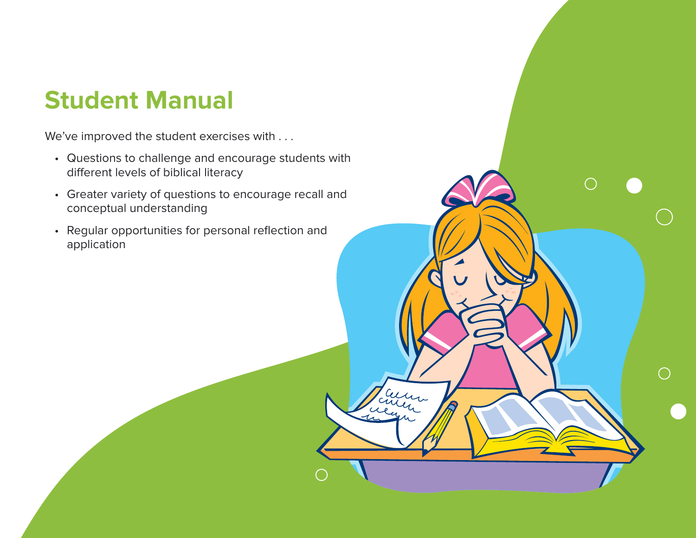# **Student Manual**

We've improved the student exercises with . . .

• Questions to challenge and encourage students with different levels of biblical literacy

 $\bigcap$ 

Curry

- Greater variety of questions to encourage recall and conceptual understanding
- Regular opportunities for personal reflection and application